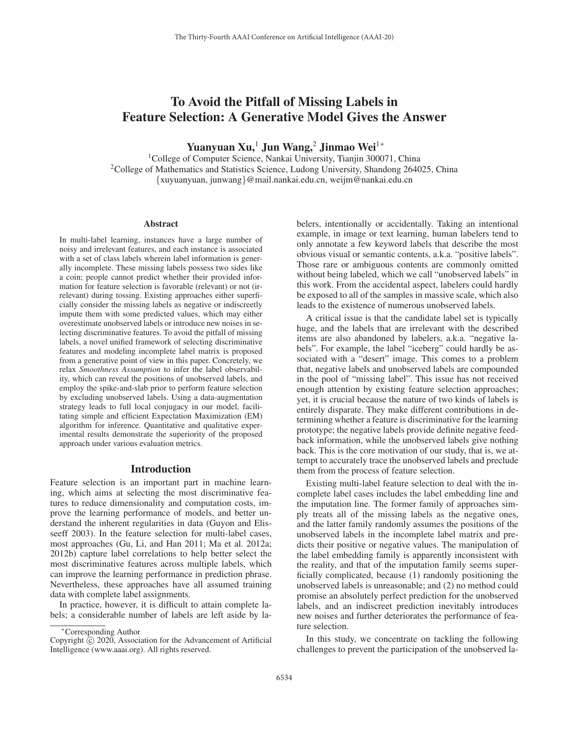# To Avoid the Pitfall of Missing Labels in Feature Selection: A Generative Model Gives the Answer

Yuanyuan Xu,<sup>1</sup> Jun Wang,<sup>2</sup> Jinmao Wei<sup>1∗</sup>

1College of Computer Science, Nankai University, Tianjin 300071, China <sup>2</sup>College of Mathematics and Statistics Science, Ludong University, Shandong 264025, China {xuyuanyuan, junwang}@mail.nankai.edu.cn, weijm@nankai.edu.cn

### **Abstract**

In multi-label learning, instances have a large number of noisy and irrelevant features, and each instance is associated with a set of class labels wherein label information is generally incomplete. These missing labels possess two sides like a coin; people cannot predict whether their provided information for feature selection is favorable (relevant) or not (irrelevant) during tossing. Existing approaches either superficially consider the missing labels as negative or indiscreetly impute them with some predicted values, which may either overestimate unobserved labels or introduce new noises in selecting discriminative features. To avoid the pitfall of missing labels, a novel unified framework of selecting discriminative features and modeling incomplete label matrix is proposed from a generative point of view in this paper. Concretely, we relax *Smoothness Assumption* to infer the label observability, which can reveal the positions of unobserved labels, and employ the spike-and-slab prior to perform feature selection by excluding unobserved labels. Using a data-augmentation strategy leads to full local conjugacy in our model, facilitating simple and efficient Expectation Maximization (EM) algorithm for inference. Quantitative and qualitative experimental results demonstrate the superiority of the proposed approach under various evaluation metrics.

### Introduction

Feature selection is an important part in machine learning, which aims at selecting the most discriminative features to reduce dimensionality and computation costs, improve the learning performance of models, and better understand the inherent regularities in data (Guyon and Elisseeff 2003). In the feature selection for multi-label cases, most approaches (Gu, Li, and Han 2011; Ma et al. 2012a; 2012b) capture label correlations to help better select the most discriminative features across multiple labels, which can improve the learning performance in prediction phrase. Nevertheless, these approaches have all assumed training data with complete label assignments.

In practice, however, it is difficult to attain complete labels; a considerable number of labels are left aside by labelers, intentionally or accidentally. Taking an intentional example, in image or text learning, human labelers tend to only annotate a few keyword labels that describe the most obvious visual or semantic contents, a.k.a. "positive labels". Those rare or ambiguous contents are commonly omitted without being labeled, which we call "unobserved labels" in this work. From the accidental aspect, labelers could hardly be exposed to all of the samples in massive scale, which also leads to the existence of numerous unobserved labels.

A critical issue is that the candidate label set is typically huge, and the labels that are irrelevant with the described items are also abandoned by labelers, a.k.a. "negative labels". For example, the label "iceberg" could hardly be associated with a "desert" image. This comes to a problem that, negative labels and unobserved labels are compounded in the pool of "missing label". This issue has not received enough attention by existing feature selection approaches; yet, it is crucial because the nature of two kinds of labels is entirely disparate. They make different contributions in determining whether a feature is discriminative for the learning prototype; the negative labels provide definite negative feedback information, while the unobserved labels give nothing back. This is the core motivation of our study, that is, we attempt to accurately trace the unobserved labels and preclude them from the process of feature selection.

Existing multi-label feature selection to deal with the incomplete label cases includes the label embedding line and the imputation line. The former family of approaches simply treats all of the missing labels as the negative ones, and the latter family randomly assumes the positions of the unobserved labels in the incomplete label matrix and predicts their positive or negative values. The manipulation of the label embedding family is apparently inconsistent with the reality, and that of the imputation family seems superficially complicated, because (1) randomly positioning the unobserved labels is unreasonable; and (2) no method could promise an absolutely perfect prediction for the unobserved labels, and an indiscreet prediction inevitably introduces new noises and further deteriorates the performance of feature selection.

In this study, we concentrate on tackling the following challenges to prevent the participation of the unobserved la-

<sup>∗</sup>Corresponding Author

Copyright  $\odot$  2020, Association for the Advancement of Artificial Intelligence (www.aaai.org). All rights reserved.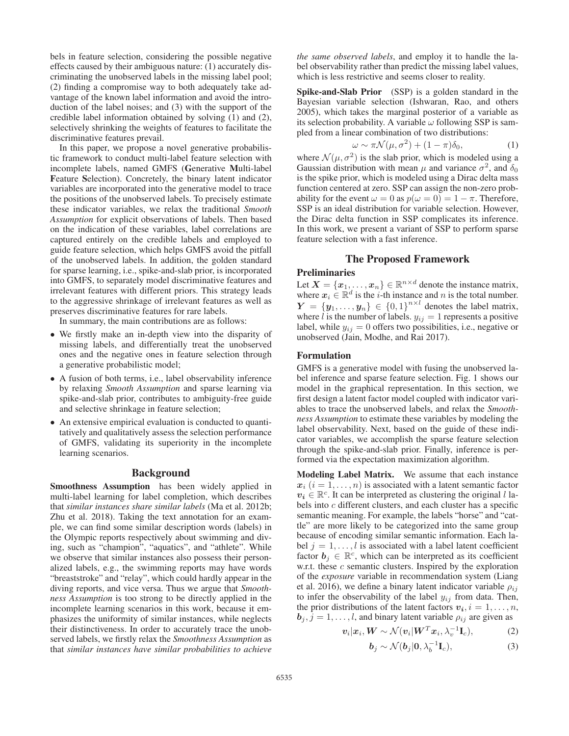bels in feature selection, considering the possible negative effects caused by their ambiguous nature: (1) accurately discriminating the unobserved labels in the missing label pool; (2) finding a compromise way to both adequately take advantage of the known label information and avoid the introduction of the label noises; and (3) with the support of the credible label information obtained by solving (1) and (2), selectively shrinking the weights of features to facilitate the discriminative features prevail.

In this paper, we propose a novel generative probabilistic framework to conduct multi-label feature selection with incomplete labels, named GMFS (Generative Multi-label Feature Selection). Concretely, the binary latent indicator variables are incorporated into the generative model to trace the positions of the unobserved labels. To precisely estimate these indicator variables, we relax the traditional *Smooth Assumption* for explicit observations of labels. Then based on the indication of these variables, label correlations are captured entirely on the credible labels and employed to guide feature selection, which helps GMFS avoid the pitfall of the unobserved labels. In addition, the golden standard for sparse learning, i.e., spike-and-slab prior, is incorporated into GMFS, to separately model discriminative features and irrelevant features with different priors. This strategy leads to the aggressive shrinkage of irrelevant features as well as preserves discriminative features for rare labels.

In summary, the main contributions are as follows:

- We firstly make an in-depth view into the disparity of missing labels, and differentially treat the unobserved ones and the negative ones in feature selection through a generative probabilistic model;
- A fusion of both terms, i.e., label observability inference by relaxing *Smooth Assumption* and sparse learning via spike-and-slab prior, contributes to ambiguity-free guide and selective shrinkage in feature selection;
- An extensive empirical evaluation is conducted to quantitatively and qualitatively assess the selection performance of GMFS, validating its superiority in the incomplete learning scenarios.

#### Background

Smoothness Assumption has been widely applied in multi-label learning for label completion, which describes that *similar instances share similar labels* (Ma et al. 2012b; Zhu et al. 2018). Taking the text annotation for an example, we can find some similar description words (labels) in the Olympic reports respectively about swimming and diving, such as "champion", "aquatics", and "athlete". While we observe that similar instances also possess their personalized labels, e.g., the swimming reports may have words "breaststroke" and "relay", which could hardly appear in the diving reports, and vice versa. Thus we argue that *Smoothness Assumption* is too strong to be directly applied in the incomplete learning scenarios in this work, because it emphasizes the uniformity of similar instances, while neglects their distinctiveness. In order to accurately trace the unobserved labels, we firstly relax the *Smoothness Assumption* as that *similar instances have similar probabilities to achieve*

*the same observed labels*, and employ it to handle the label observability rather than predict the missing label values, which is less restrictive and seems closer to reality.

Spike-and-Slab Prior (SSP) is a golden standard in the Bayesian variable selection (Ishwaran, Rao, and others 2005), which takes the marginal posterior of a variable as its selection probability. A variable  $\omega$  following SSP is sampled from a linear combination of two distributions:

$$
\omega \sim \pi \mathcal{N}(\mu, \sigma^2) + (1 - \pi)\delta_0,
$$
\n(1)  
\n(2) is the slab prior, which is modeled using a

where  $\mathcal{N}(\mu, \sigma^2)$  is the slab prior, which is modeled using a Gaussian distribution with mean  $\mu$  and variance  $\sigma^2$  and  $\delta_0$ Gaussian distribution with mean  $\mu$  and variance  $\sigma^2$ , and  $\delta_0$ is the spike prior, which is modeled using a Dirac delta mass function centered at zero. SSP can assign the non-zero probability for the event  $\omega = 0$  as  $p(\omega = 0) = 1 - \pi$ . Therefore, SSP is an ideal distribution for variable selection. However, the Dirac delta function in SSP complicates its inference. In this work, we present a variant of SSP to perform sparse feature selection with a fast inference.

# The Proposed Framework

#### Preliminaries

Let  $X = \{x_1, \ldots, x_n\} \in \mathbb{R}^{n \times d}$  denote the instance matrix, where  $x_i \in \mathbb{R}^d$  is the *i*-th instance and *n* is the total number.  $Y = \{y_1, \ldots, y_n\} \in \{0, 1\}^{n \times l}$  denotes the label matrix, where *l* is the number of labels,  $y_{ij} = 1$  represents a positive where l is the number of labels.  $y_{ij} = 1$  represents a positive label, while  $y_{ij} = 0$  offers two possibilities, i.e., negative or unobserved (Jain, Modhe, and Rai 2017).

### Formulation

GMFS is a generative model with fusing the unobserved label inference and sparse feature selection. Fig. 1 shows our model in the graphical representation. In this section, we first design a latent factor model coupled with indicator variables to trace the unobserved labels, and relax the *Smoothness Assumption* to estimate these variables by modeling the label observability. Next, based on the guide of these indicator variables, we accomplish the sparse feature selection through the spike-and-slab prior. Finally, inference is performed via the expectation maximization algorithm.

Modeling Label Matrix. We assume that each instance  $x_i$   $(i = 1, \ldots, n)$  is associated with a latent semantic factor  $v_i \in \mathbb{R}^c$ . It can be interpreted as clustering the original l labels into c different clusters, and each cluster has a specific semantic meaning. For example, the labels "horse" and "cattle" are more likely to be categorized into the same group because of encoding similar semantic information. Each label  $j = 1, \ldots, l$  is associated with a label latent coefficient factor  $b_i \in \mathbb{R}^c$ , which can be interpreted as its coefficient w.r.t. these  $c$  semantic clusters. Inspired by the exploration of the *exposure* variable in recommendation system (Liang et al. 2016), we define a binary latent indicator variable  $\rho_{ij}$ to infer the observability of the label  $y_{ij}$  from data. Then, the prior distributions of the latent factors  $v_i$ ,  $i = 1, \ldots, n$ ,  $b_j$ ,  $j = 1, ..., l$ , and binary latent variable  $\rho_{ij}$  are given as<br> $v_i | x_i, W \sim \mathcal{N}(v_i | W^T x_i, \lambda_i^{-1} \mathbf{I}_c)$ . (2)

$$
\boldsymbol{v}_i|\boldsymbol{x}_i, \boldsymbol{W} \sim \mathcal{N}(\boldsymbol{v}_i|\boldsymbol{W}^T\boldsymbol{x}_i, \lambda_v^{-1}\mathbf{I}_c), \tag{2}
$$

$$
\boldsymbol{b}_j \sim \mathcal{N}(\boldsymbol{b}_j | \boldsymbol{0}, \lambda_b^{-1} \mathbf{I}_c), \tag{3}
$$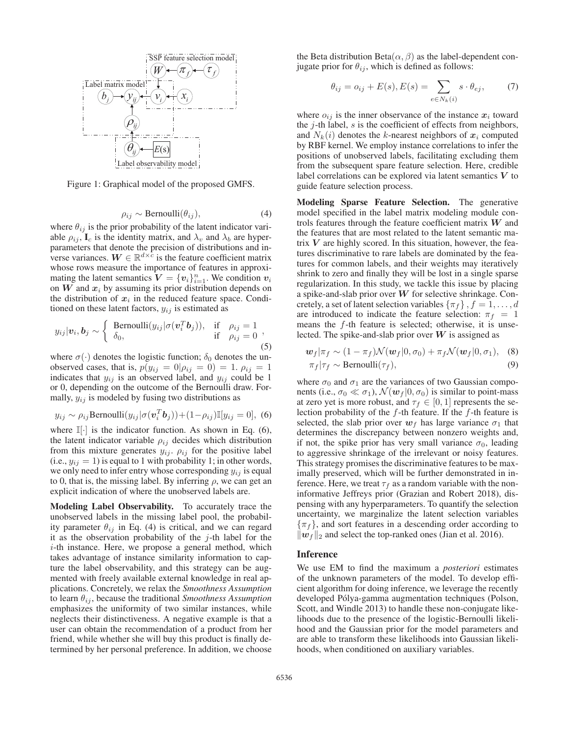

Figure 1: Graphical model of the proposed GMFS.

$$
\rho_{ij} \sim \text{Bernoulli}(\theta_{ij}),\tag{4}
$$

 $\rho_{ij} \sim \text{Bernoulli}(\theta_{ij}),$ <br>where  $\theta_{ij}$  is the prior probability of the latent indicator variable  $\rho_{ij}$ ,  $I_c$  is the identity matrix, and  $\lambda_v$  and  $\lambda_b$  are hyperparameters that denote the precision of distributions and inverse variances.  $W \in \mathbb{R}^{d \times c}$  is the feature coefficient matrix whose rows measure the importance of features in approximating the latent semantics  $\mathbf{V} = {\mathbf{v}_i}_{i=1}^n$ . We condition  $\mathbf{v}_i$ <br>on  $\mathbf{W}$  and  $\mathbf{x}_i$  by assuming its prior distribution depends on on  $W$  and  $x_i$  by assuming its prior distribution depends on the distribution of  $x_i$  in the reduced feature space. Conditioned on these latent factors,  $y_{ij}$  is estimated as

$$
y_{ij}|\mathbf{v}_i, \mathbf{b}_j \sim \begin{cases} \text{Bernoulli}(y_{ij}|\sigma(\mathbf{v}_i^T \mathbf{b}_j)), & \text{if } \rho_{ij} = 1 \\ \delta_0, & \text{if } \rho_{ij} = 0 \end{cases},
$$
 (5)

where  $\sigma(\cdot)$  denotes the logistic function;  $\delta_0$  denotes the unobserved cases, that is,  $p(y_{ij} = 0 | \rho_{ij} = 0) = 1$ .  $\rho_{ij} = 1$ indicates that  $y_{ij}$  is an observed label, and  $y_{ij}$  could be 1 or 0, depending on the outcome of the Bernoulli draw. Formally,  $y_{ij}$  is modeled by fusing two distributions as

$$
y_{ij} \sim \rho_{ij} \text{Bernoulli}(y_{ij} | \sigma(\mathbf{v}_i^T \mathbf{b}_j)) + (1 - \rho_{ij}) \mathbb{I}[y_{ij} = 0], \tag{6}
$$

where  $\mathbb{I}[\cdot]$  is the indicator function. As shown in Eq. (6), the latent indicator variable  $\rho_{ij}$  decides which distribution from this mixture generates  $y_{ij}$ .  $\rho_{ij}$  for the positive label (i.e.,  $y_{ij} = 1$ ) is equal to 1 with probability 1; in other words, we only need to infer entry whose corresponding  $y_{ij}$  is equal to 0, that is, the missing label. By inferring  $\rho$ , we can get an explicit indication of where the unobserved labels are.

Modeling Label Observability. To accurately trace the unobserved labels in the missing label pool, the probability parameter  $\theta_{ij}$  in Eq. (4) is critical, and we can regard it as the observation probability of the  $j$ -th label for the i-th instance. Here, we propose a general method, which takes advantage of instance similarity information to capture the label observability, and this strategy can be augmented with freely available external knowledge in real applications. Concretely, we relax the *Smoothness Assumption* to learn  $\theta_{ij}$ , because the traditional *Smoothness Assumption* emphasizes the uniformity of two similar instances, while neglects their distinctiveness. A negative example is that a user can obtain the recommendation of a product from her friend, while whether she will buy this product is finally determined by her personal preference. In addition, we choose

the Beta distribution Beta $(\alpha, \beta)$  as the label-dependent conjugate prior for  $\theta_{ij}$ , which is defined as follows:

$$
\theta_{ij} = o_{ij} + E(s), E(s) = \sum_{e \in N_k(i)} s \cdot \theta_{ej}, \tag{7}
$$

where  $o_{ij}$  is the inner observance of the instance  $x_i$  toward the  $j$ -th label,  $s$  is the coefficient of effects from neighbors, and  $N_k(i)$  denotes the k-nearest neighbors of  $x_i$  computed by RBF kernel. We employ instance correlations to infer the positions of unobserved labels, facilitating excluding them from the subsequent spare feature selection. Here, credible label correlations can be explored via latent semantics *V* to guide feature selection process.

Modeling Sparse Feature Selection. The generative model specified in the label matrix modeling module controls features through the feature coefficient matrix *W* and the features that are most related to the latent semantic matrix *V* are highly scored. In this situation, however, the features discriminative to rare labels are dominated by the features for common labels, and their weights may iteratively shrink to zero and finally they will be lost in a single sparse regularization. In this study, we tackle this issue by placing a spike-and-slab prior over *W* for selective shrinkage. Concretely, a set of latent selection variables  $\{\pi_f\}$ ,  $f = 1, \ldots, d$ are introduced to indicate the feature selection:  $\pi_f = 1$ means the  $f$ -th feature is selected; otherwise, it is unselected. The spike-and-slab prior over *W* is assigned as

$$
\mathbf{w}_f|\pi_f \sim (1 - \pi_f)\mathcal{N}(\mathbf{w}_f|0, \sigma_0) + \pi_f\mathcal{N}(\mathbf{w}_f|0, \sigma_1), \quad (8)
$$
  

$$
\pi_f|\tau_f \sim \text{Bernoulli}(\tau_f), \quad (9)
$$

where  $\sigma_0$  and  $\sigma_1$  are the variances of two Gaussian components (i.e.,  $\sigma_0 \ll \sigma_1$ ),  $\mathcal{N}(w_f | 0, \sigma_0)$  is similar to point-mass at zero yet is more robust, and  $\tau_f \in [0, 1]$  represents the selection probability of the  $f$ -th feature. If the  $f$ -th feature is selected, the slab prior over  $w_f$  has large variance  $\sigma_1$  that determines the discrepancy between nonzero weights and, if not, the spike prior has very small variance  $\sigma_0$ , leading to aggressive shrinkage of the irrelevant or noisy features. This strategy promises the discriminative features to be maximally preserved, which will be further demonstrated in inference. Here, we treat  $\tau_f$  as a random variable with the noninformative Jeffreys prior (Grazian and Robert 2018), dispensing with any hyperparameters. To quantify the selection uncertainty, we marginalize the latent selection variables  $\{\pi_f\}$ , and sort features in a descending order according to  $||w_f||_2$  and select the top-ranked ones (Jian et al. 2016).

## Inference

We use EM to find the maximum a *posteriori* estimates of the unknown parameters of the model. To develop efficient algorithm for doing inference, we leverage the recently developed Pólya-gamma augmentation techniques (Polson, Scott, and Windle 2013) to handle these non-conjugate likelihoods due to the presence of the logistic-Bernoulli likelihood and the Gaussian prior for the model parameters and are able to transform these likelihoods into Gaussian likelihoods, when conditioned on auxiliary variables.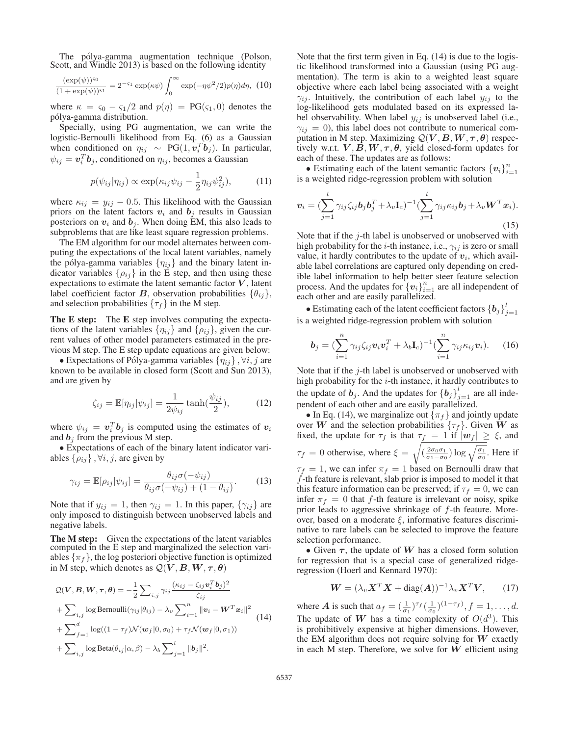The pólya-gamma augmentation technique (Polson, Scott, and Windle 2013) is based on the following identity

$$
\frac{(\exp(\psi))^{50}}{(1+\exp(\psi))^{51}} = 2^{-51} \exp(\kappa \psi) \int_0^\infty \exp(-\eta \psi^2/2) p(\eta) d\eta, (10)
$$

where  $\kappa = \varsigma_0 - \varsigma_1/2$  and  $p(\eta) = PG(\varsigma_1, 0)$  denotes the <sup>p</sup>´olya-gamma distribution.

Specially, using PG augmentation, we can write the logistic-Bernoulli likelihood from Eq. (6) as a Gaussian when conditioned on  $\eta_{ij} \sim PG(1, v_i^T b_j)$ . In particular,  $\psi_{ij} = \boldsymbol{v}_i^T \boldsymbol{b}_j$ , conditioned on  $\eta_{ij}$ , becomes a Gaussian

$$
p(\psi_{ij}|\eta_{ij}) \propto \exp(\kappa_{ij}\psi_{ij} - \frac{1}{2}\eta_{ij}\psi_{ij}^2), \quad (11)
$$

where  $\kappa_{ij} = y_{ij} - 0.5$ . This likelihood with the Gaussian priors on the latent factors  $\boldsymbol{v}_i$  and  $\boldsymbol{b}_i$  results in Gaussian priors on the latent factors  $v_i$  and  $b_j$  results in Gaussian posteriors on  $v_i$  and  $b_j$ . When doing EM, this also leads to subproblems that are like least square regression problems.

The EM algorithm for our model alternates between computing the expectations of the local latent variables, namely the pólya-gamma variables  $\{\eta_{ij}\}\$ and the binary latent indicator variables  $\{\rho_{ij}\}\$ in the E step, and then using these expectations to estimate the latent semantic factor  $V$ , latent label coefficient factor *B*, observation probabilities  $\{\theta_{ij}\},\$ and selection probabilities  $\{\tau_f\}$  in the M step.

The E step: The E step involves computing the expectations of the latent variables  $\{\eta_{ij}\}\$  and  $\{\rho_{ij}\}\$ , given the current values of other model parameters estimated in the previous M step. The E step update equations are given below:

• Expectations of Pólya-gamma variables  $\{\eta_{ij}\}, \forall i, j$  are known to be available in closed form (Scott and Sun 2013), and are given by

$$
\zeta_{ij} = \mathbb{E}[\eta_{ij}|\psi_{ij}] = \frac{1}{2\psi_{ij}} \tanh(\frac{\psi_{ij}}{2}),\tag{12}
$$

where  $\psi_{ij} = v_i^T b_j$  is computed using the estimates of  $v_i$  and  $b_j$  from the previous M step. and  $b_i$  from the previous M step.

• Expectations of each of the binary latent indicator variables  $\{\rho_{ij}\}, \forall i, j$ , are given by

$$
\gamma_{ij} = \mathbb{E}[\rho_{ij}|\psi_{ij}] = \frac{\theta_{ij}\sigma(-\psi_{ij})}{\theta_{ij}\sigma(-\psi_{ij}) + (1 - \theta_{ij})}.
$$
 (13)

Note that if  $y_{ij} = 1$ , then  $\gamma_{ij} = 1$ . In this paper,  $\{\gamma_{ij}\}$  are only imposed to distinguish between unobserved labels and negative labels.

The M step: Given the expectations of the latent variables computed in the E step and marginalized the selection variables  $\{\pi_f\}$ , the log posteriori objective function is optimized in M step, which denotes as  $Q(V, B, W, \tau, \theta)$ 

$$
Q(\mathbf{V}, \mathbf{B}, \mathbf{W}, \boldsymbol{\tau}, \boldsymbol{\theta}) = -\frac{1}{2} \sum_{i,j} \gamma_{ij} \frac{(\kappa_{ij} - \zeta_{ij} \mathbf{v}_i^T \mathbf{b}_j)^2}{\zeta_{ij}}
$$
  
+ 
$$
\sum_{i,j} \log \text{Bernoulli}(\gamma_{ij} | \theta_{ij}) - \lambda_v \sum_{i=1}^n ||\mathbf{v}_i - \mathbf{W}^T \mathbf{x}_i||^2
$$
  
+ 
$$
\sum_{f=1}^d \log((1 - \tau_f) \mathcal{N}(\mathbf{w}_f | 0, \sigma_0) + \tau_f \mathcal{N}(\mathbf{w}_f | 0, \sigma_1))
$$
  
+ 
$$
\sum_{i,j} \log \text{Beta}(\theta_{ij} | \alpha, \beta) - \lambda_b \sum_{j=1}^l ||\mathbf{b}_j||^2.
$$
 (14)

Note that the first term given in Eq. (14) is due to the logistic likelihood transformed into a Gaussian (using PG augmentation). The term is akin to a weighted least square objective where each label being associated with a weight  $\gamma_{ij}$ . Intuitively, the contribution of each label  $y_{ij}$  to the log-likelihood gets modulated based on its expressed label observability. When label  $y_{ij}$  is unobserved label (i.e.,  $\gamma_{ij} = 0$ ), this label does not contribute to numerical computation in M step. Maximizing  $Q(V, B, W, \tau, \theta)$  respectively w.r.t.  $V, B, W, \tau, \theta$ , yield closed-form updates for each of these. The updates are as follows:

• Estimating each of the latent semantic factors  ${v_i}_{i=1}^n$ is a weighted ridge-regression problem with solution

$$
\boldsymbol{v}_i = (\sum_{j=1}^l \gamma_{ij} \zeta_{ij} \boldsymbol{b}_j \boldsymbol{b}_j^T + \lambda_v \mathbf{I}_c)^{-1} (\sum_{j=1}^l \gamma_{ij} \kappa_{ij} \boldsymbol{b}_j + \lambda_v \boldsymbol{W}^T \boldsymbol{x}_i).
$$
\n(15)

Note that if the  $j$ -th label is unobserved or unobserved with high probability for the *i*-th instance, i.e.,  $\gamma_{ij}$  is zero or small value, it hardly contributes to the update of  $v_i$ , which available label correlations are captured only depending on credible label information to help better steer feature selection process. And the updates for  ${v_i}_{i=1}^n$  are all independent of each other and are easily parallelized.

• Estimating each of the latent coefficient factors  ${b_j}^l$  $j=1$ is a weighted ridge-regression problem with solution

$$
\boldsymbol{b}_j = (\sum_{i=1}^n \gamma_{ij} \zeta_{ij} \boldsymbol{v}_i \boldsymbol{v}_i^T + \lambda_b \mathbf{I}_c)^{-1} (\sum_{i=1}^n \gamma_{ij} \kappa_{ij} \boldsymbol{v}_i). \qquad (16)
$$

Note that if the  $i$ -th label is unobserved or unobserved with high probability for the  $i$ -th instance, it hardly contributes to the update of  $\boldsymbol{b}_j$ . And the updates for  $\{\boldsymbol{b}_j\}_{j=1}^l$  are all independent of each other and are easily parallelized.

• In Eq. (14), we marginalize out  $\{\pi_f\}$  and jointly update over *W* and the selection probabilities  $\{\tau_f\}$ . Given *W* as fixed, the update for  $\tau_f$  is that  $\tau_f = 1$  if  $|w_f| \ge \xi$ , and  $\tau_f = 0$  otherwise, where  $\xi = \sqrt{\frac{2\sigma_0 \sigma_1}{\sigma_1 - \sigma_0} \log \sqrt{\frac{\sigma_1}{\sigma_0}}}$ . Here if  $\tau_f = 1$ , we can infer  $\pi_f = 1$  based on Bernoulli draw that f-th feature is relevant, slab prior is imposed to model it that this feature information can be preserved; if  $\tau_f = 0$ , we can infer  $\pi_f = 0$  that f-th feature is irrelevant or noisy, spike prior leads to aggressive shrinkage of  $f$ -th feature. Moreover, based on a moderate  $\xi$ , informative features discriminative to rare labels can be selected to improve the feature selection performance.

• Given  $τ$ , the update of *W* has a closed form solution for regression that is a special case of generalized ridgeregression (Hoerl and Kennard 1970):

$$
\mathbf{W} = (\lambda_v \mathbf{X}^T \mathbf{X} + \text{diag}(\mathbf{A}))^{-1} \lambda_v \mathbf{X}^T \mathbf{V}, \qquad (17)
$$

where *A* is such that  $a_f = (\frac{1}{\sigma_1})^{\tau_f} (\frac{1}{\sigma_0})^{(1-\tau_f)}, f = 1, \ldots, d$ .<br>The undete of *M* has a time complayity of  $O(d_0^3)$ . This The update of *W* has a time complexity of  $O(d^3)$ . This is prohibitively expensive at higher dimensions. However, the EM algorithm does not require solving for *W* exactly in each M step. Therefore, we solve for *W* efficient using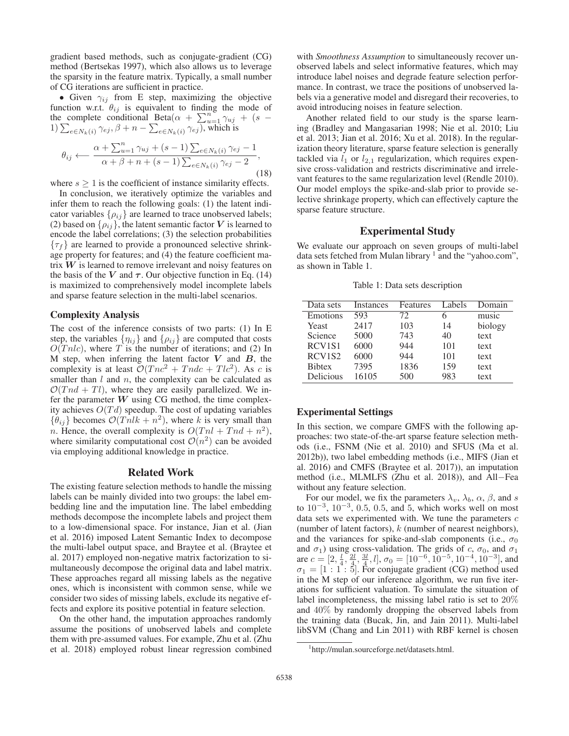gradient based methods, such as conjugate-gradient (CG) method (Bertsekas 1997), which also allows us to leverage the sparsity in the feature matrix. Typically, a small number of CG iterations are sufficient in practice.

• Given  $\gamma_{ij}$  from E step, maximizing the objective function w.r.t.  $\theta_{ij}$  is equivalent to finding the mode of the complete conditional Beta $(\alpha + \sum_{u=1}^{n} \gamma_{uj} + (s - 1)\sum_{v=0}^{n} \gamma_{viv} \beta + n - \sum_{v=0}^{n} \gamma_{viv} \gamma_{vi})$  which is 1)  $\sum_{e \in N_k(i)} \gamma_{ej}, \beta + n - \sum_{e \in N_k(i)} \gamma_{ej}$ , which is

$$
\theta_{ij} \longleftarrow \frac{\alpha + \sum_{u=1}^{n} \gamma_{uj} + (s-1) \sum_{e \in N_k(i)} \gamma_{ej} - 1}{\alpha + \beta + n + (s-1) \sum_{e \in N_k(i)} \gamma_{ej} - 2},
$$
\n(18)

where  $s \geq 1$  is the coefficient of instance similarity effects.

In conclusion, we iteratively optimize the variables and infer them to reach the following goals: (1) the latent indicator variables  $\{\rho_{ij}\}$  are learned to trace unobserved labels; (2) based on  $\{\rho_{ij}\}\$ , the latent semantic factor V is learned to encode the label correlations; (3) the selection probabilities  $\{\tau_f\}$  are learned to provide a pronounced selective shrinkage property for features; and (4) the feature coefficient matrix  $W$  is learned to remove irrelevant and noisy features on the basis of the *V* and  $\tau$ . Our objective function in Eq. (14) is maximized to comprehensively model incomplete labels and sparse feature selection in the multi-label scenarios.

# Complexity Analysis

The cost of the inference consists of two parts: (1) In E step, the variables  $\{\eta_{ij}\}$  and  $\{\rho_{ij}\}$  are computed that costs  $O(Tnlc)$ , where T is the number of iterations; and (2) In M step, when inferring the latent factor *V* and *B*, the complexity is at least  $\mathcal{O}(Tnc^2 + Tndc + Tlc^2)$ . As c is smaller than  $l$  and  $n$ , the complexity can be calculated as  $\mathcal{O}(Tnd + Tl)$ , where they are easily parallelized. We infer the parameter  $W$  using CG method, the time complexity achieves  $O(Td)$  speedup. The cost of updating variables  ${\theta_{ij}}$  becomes  $\mathcal{O}(T_n l k + n^2)$ , where k is very small than n. Hence, the overall complexity is  $O(Tnl + Tnd + n^2)$ , where similarity computational cost  $\mathcal{O}(n^2)$  can be avoided via employing additional knowledge in practice.

### Related Work

The existing feature selection methods to handle the missing labels can be mainly divided into two groups: the label embedding line and the imputation line. The label embedding methods decompose the incomplete labels and project them to a low-dimensional space. For instance, Jian et al. (Jian et al. 2016) imposed Latent Semantic Index to decompose the multi-label output space, and Braytee et al. (Braytee et al. 2017) employed non-negative matrix factorization to simultaneously decompose the original data and label matrix. These approaches regard all missing labels as the negative ones, which is inconsistent with common sense, while we consider two sides of missing labels, exclude its negative effects and explore its positive potential in feature selection.

On the other hand, the imputation approaches randomly assume the positions of unobserved labels and complete them with pre-assumed values. For example, Zhu et al. (Zhu et al. 2018) employed robust linear regression combined

with *Smoothness Assumption* to simultaneously recover unobserved labels and select informative features, which may introduce label noises and degrade feature selection performance. In contrast, we trace the positions of unobserved labels via a generative model and disregard their recoveries, to avoid introducing noises in feature selection.

Another related field to our study is the sparse learning (Bradley and Mangasarian 1998; Nie et al. 2010; Liu et al. 2013; Jian et al. 2016; Xu et al. 2018). In the regularization theory literature, sparse feature selection is generally tackled via  $l_1$  or  $l_{2,1}$  regularization, which requires expensive cross-validation and restricts discriminative and irrelevant features to the same regularization level (Rendle 2010). Our model employs the spike-and-slab prior to provide selective shrinkage property, which can effectively capture the sparse feature structure.

# Experimental Study

We evaluate our approach on seven groups of multi-label data sets fetched from Mulan library  $<sup>1</sup>$  and the "yahoo.com",</sup> as shown in Table 1.

Table 1: Data sets description

| Data sets                       | Instances | <b>Features</b> | Labels | Domain  |
|---------------------------------|-----------|-----------------|--------|---------|
| Emotions                        | 593       | 72.             | 6      | music   |
| Yeast                           | 2417      | 103             | 14     | biology |
| Science                         | 5000      | 743             | 40     | text    |
| RCV <sub>1</sub> S <sub>1</sub> | 6000      | 944             | 101    | text    |
| RCV <sub>1</sub> S <sub>2</sub> | 6000      | 944             | 101    | text    |
| <b>Bibtex</b>                   | 7395      | 1836            | 159    | text    |
| Delicious                       | 16105     | 500             | 983    | text    |

### Experimental Settings

In this section, we compare GMFS with the following approaches: two state-of-the-art sparse feature selection methods (i.e., FSNM (Nie et al. 2010) and SFUS (Ma et al. 2012b)), two label embedding methods (i.e., MIFS (Jian et al. 2016) and CMFS (Braytee et al. 2017)), an imputation method (i.e., MLMLFS (Zhu et al. 2018)), and All−Fea without any feature selection.

For our model, we fix the parameters  $\lambda_v$ ,  $\lambda_b$ ,  $\alpha$ ,  $\beta$ , and s to  $10^{-3}$ ,  $10^{-3}$ , 0.5, 0.5, and 5, which works well on most data sets we experimented with. We tune the parameters  $c$ (number of latent factors),  $k$  (number of nearest neighbors), and the variances for spike-and-slab components (i.e.,  $\sigma_0$ ) and  $\sigma_1$ ) using cross-validation. The grids of c,  $\sigma_0$ , and  $\sigma_1$ are  $c = [2, \frac{1}{4}, \frac{21}{4}, \frac{31}{4}, l]$ ,  $\sigma_0 = [10^{-6}, 10^{-5}, 10^{-4}, 10^{-3}]$ , and  $\sigma_1 = [1 : 1 : 5]$  For conjugate gradient (CG) method used  $\sigma_1 = [1:1:5]$ . For conjugate gradient (CG) method used<br>in the M step of our inference algorithm we run five iterin the M step of our inference algorithm, we run five iterations for sufficient valuation. To simulate the situation of label incompleteness, the missing label ratio is set to 20% and 40% by randomly dropping the observed labels from the training data (Bucak, Jin, and Jain 2011). Multi-label libSVM (Chang and Lin 2011) with RBF kernel is chosen

<sup>1</sup> http://mulan.sourceforge.net/datasets.html.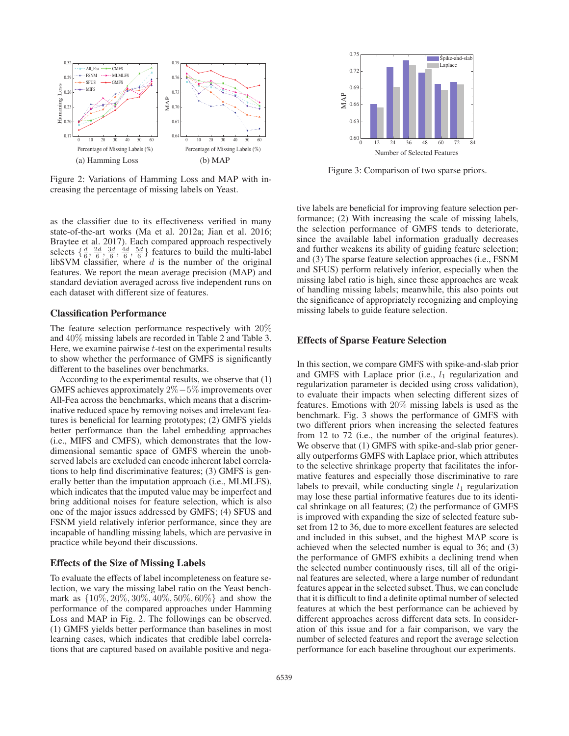

Figure 2: Variations of Hamming Loss and MAP with increasing the percentage of missing labels on Yeast.

as the classifier due to its effectiveness verified in many state-of-the-art works (Ma et al. 2012a; Jian et al. 2016; Braytee et al. 2017). Each compared approach respectively selects  $\{\frac{d}{6}, \frac{2d}{6}, \frac{3d}{6}, \frac{4d}{6}, \frac{5d}{6}\}$  features to build the multi-label libSVM classifier, where  $d$  is the number of the original features. We report the mean average precision (MAP) and standard deviation averaged across five independent runs on each dataset with different size of features.

### Classification Performance

The feature selection performance respectively with 20% and 40% missing labels are recorded in Table 2 and Table 3. Here, we examine pairwise  $t$ -test on the experimental results to show whether the performance of GMFS is significantly different to the baselines over benchmarks.

According to the experimental results, we observe that (1) GMFS achieves approximately 2%−5% improvements over All-Fea across the benchmarks, which means that a discriminative reduced space by removing noises and irrelevant features is beneficial for learning prototypes; (2) GMFS yields better performance than the label embedding approaches (i.e., MIFS and CMFS), which demonstrates that the lowdimensional semantic space of GMFS wherein the unobserved labels are excluded can encode inherent label correlations to help find discriminative features; (3) GMFS is generally better than the imputation approach (i.e., MLMLFS), which indicates that the imputed value may be imperfect and bring additional noises for feature selection, which is also one of the major issues addressed by GMFS; (4) SFUS and FSNM yield relatively inferior performance, since they are incapable of handling missing labels, which are pervasive in practice while beyond their discussions.

### Effects of the Size of Missing Labels

To evaluate the effects of label incompleteness on feature selection, we vary the missing label ratio on the Yeast benchmark as {10%, 20%, 30%, 40%, 50%, 60%} and show the performance of the compared approaches under Hamming Loss and MAP in Fig. 2. The followings can be observed. (1) GMFS yields better performance than baselines in most learning cases, which indicates that credible label correlations that are captured based on available positive and nega-



Figure 3: Comparison of two sparse priors.

tive labels are beneficial for improving feature selection performance; (2) With increasing the scale of missing labels, the selection performance of GMFS tends to deteriorate, since the available label information gradually decreases and further weakens its ability of guiding feature selection; and (3) The sparse feature selection approaches (i.e., FSNM and SFUS) perform relatively inferior, especially when the missing label ratio is high, since these approaches are weak of handling missing labels; meanwhile, this also points out the significance of appropriately recognizing and employing missing labels to guide feature selection.

# Effects of Sparse Feature Selection

In this section, we compare GMFS with spike-and-slab prior and GMFS with Laplace prior (i.e.,  $l_1$  regularization and regularization parameter is decided using cross validation), to evaluate their impacts when selecting different sizes of features. Emotions with 20% missing labels is used as the benchmark. Fig. 3 shows the performance of GMFS with two different priors when increasing the selected features from 12 to 72 (i.e., the number of the original features). We observe that (1) GMFS with spike-and-slab prior generally outperforms GMFS with Laplace prior, which attributes to the selective shrinkage property that facilitates the informative features and especially those discriminative to rare labels to prevail, while conducting single  $l_1$  regularization may lose these partial informative features due to its identical shrinkage on all features; (2) the performance of GMFS is improved with expanding the size of selected feature subset from 12 to 36, due to more excellent features are selected and included in this subset, and the highest MAP score is achieved when the selected number is equal to 36; and (3) the performance of GMFS exhibits a declining trend when the selected number continuously rises, till all of the original features are selected, where a large number of redundant features appear in the selected subset. Thus, we can conclude that it is difficult to find a definite optimal number of selected features at which the best performance can be achieved by different approaches across different data sets. In consideration of this issue and for a fair comparison, we vary the number of selected features and report the average selection performance for each baseline throughout our experiments.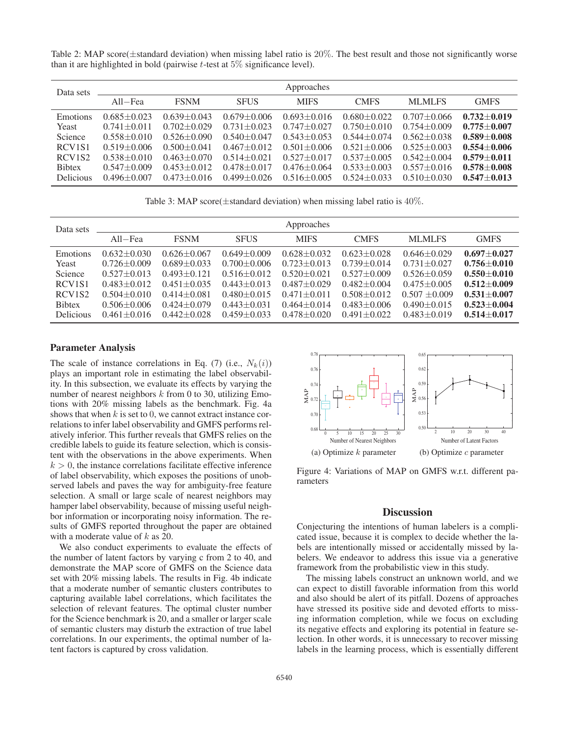Table 2: MAP score( $\pm$ standard deviation) when missing label ratio is 20%. The best result and those not significantly worse than it are highlighted in bold (pairwise  $t$ -test at  $5\%$  significance level).

| Data sets                       | Approaches        |                   |                   |                   |                   |                   |                 |
|---------------------------------|-------------------|-------------------|-------------------|-------------------|-------------------|-------------------|-----------------|
|                                 | All–Fea           | <b>FSNM</b>       | <b>SFUS</b>       | <b>MIFS</b>       | <b>CMFS</b>       | <b>MLMLFS</b>     | <b>GMFS</b>     |
| <b>Emotions</b>                 | $0.685 \pm 0.023$ | $0.639 \pm 0.043$ | $0.679 \pm 0.006$ | $0.693 \pm 0.016$ | $0.680 \pm 0.022$ | $0.707 + 0.066$   | $0.732 + 0.019$ |
| Yeast                           | $0.741 \pm 0.011$ | $0.702 + 0.029$   | $0.731 + 0.023$   | $0.747 + 0.027$   | $0.750 \pm 0.010$ | $0.754 + 0.009$   | $0.775 + 0.007$ |
| Science                         | $0.558 + 0.010$   | $0.526 \pm 0.090$ | $0.540 + 0.047$   | $0.543 + 0.053$   | $0.544 + 0.074$   | $0.562 \pm 0.038$ | $0.589 + 0.008$ |
| RCV <sub>1</sub> S <sub>1</sub> | $0.519 + 0.006$   | $0.500 + 0.041$   | $0.467 \pm 0.012$ | $0.501 + 0.006$   | $0.521 + 0.006$   | $0.525 + 0.003$   | $0.554 + 0.006$ |
| RCV <sub>1</sub> S <sub>2</sub> | $0.538 + 0.010$   | $0.463 \pm 0.070$ | $0.514 + 0.021$   | $0.527 + 0.017$   | $0.537 + 0.005$   | $0.542 \pm 0.004$ | $0.579 + 0.011$ |
| <b>Bibtex</b>                   | $0.547 + 0.009$   | $0.453 + 0.012$   | $0.478 + 0.017$   | $0.476 + 0.064$   | $0.533 \pm 0.003$ | $0.557 + 0.016$   | $0.578 + 0.008$ |
| <b>Delicious</b>                | $0.496 + 0.007$   | $0.473 + 0.016$   | $0.499 + 0.026$   | $0.516 \pm 0.005$ | $0.524 + 0.033$   | $0.510 + 0.030$   | $0.547 + 0.013$ |

Table 3: MAP score( $\pm$ standard deviation) when missing label ratio is 40%.

| Data sets                       | Approaches        |                   |                   |                   |                   |                   |                 |
|---------------------------------|-------------------|-------------------|-------------------|-------------------|-------------------|-------------------|-----------------|
|                                 | All–Fea           | <b>FSNM</b>       | <b>SFUS</b>       | <b>MIFS</b>       | <b>CMFS</b>       | <b>MLMLFS</b>     | <b>GMFS</b>     |
| <b>Emotions</b>                 | $0.632 \pm 0.030$ | $0.626 \pm 0.067$ | $0.649 + 0.009$   | $0.628 + 0.032$   | $0.623 \pm 0.028$ | $0.646 + 0.029$   | $0.697 + 0.027$ |
| Yeast                           | $0.726 + 0.009$   | $0.689 + 0.033$   | $0.700 + 0.006$   | $0.723 \pm 0.013$ | $0.739 + 0.014$   | $0.731 + 0.027$   | $0.756 + 0.010$ |
| Science                         | $0.527 + 0.013$   | $0.493 \pm 0.121$ | $0.516 \pm 0.012$ | $0.520 + 0.021$   | $0.527 + 0.009$   | $0.526 \pm 0.059$ | $0.550 + 0.010$ |
| RCV <sub>1</sub> S <sub>1</sub> | $0.483 \pm 0.012$ | $0.451 \pm 0.035$ | $0.443 \pm 0.013$ | $0.487 + 0.029$   | $0.482 \pm 0.004$ | $0.475 + 0.005$   | $0.512 + 0.009$ |
| RCV <sub>1</sub> S <sub>2</sub> | $0.504 \pm 0.010$ | $0.414 + 0.081$   | $0.480 \pm 0.015$ | $0.471 + 0.011$   | $0.508 + 0.012$   | $0.507 \pm 0.009$ | $0.531 + 0.007$ |
| <b>Bibtex</b>                   | $0.506 \pm 0.006$ | $0.424 + 0.079$   | $0.443 \pm 0.031$ | $0.464 + 0.014$   | $0.483 \pm 0.006$ | $0.490 \pm 0.015$ | $0.523 + 0.004$ |
| <b>Delicious</b>                | $0.461 + 0.016$   | $0.442 + 0.028$   | $0.459 + 0.033$   | $0.478 + 0.020$   | $0.491 + 0.022$   | $0.483 + 0.019$   | $0.514 + 0.017$ |

## Parameter Analysis

The scale of instance correlations in Eq. (7) (i.e.,  $N_k(i)$ ) plays an important role in estimating the label observability. In this subsection, we evaluate its effects by varying the number of nearest neighbors  $k$  from 0 to 30, utilizing Emotions with 20% missing labels as the benchmark. Fig. 4a shows that when  $k$  is set to 0, we cannot extract instance correlations to infer label observability and GMFS performs relatively inferior. This further reveals that GMFS relies on the credible labels to guide its feature selection, which is consistent with the observations in the above experiments. When  $k > 0$ , the instance correlations facilitate effective inference of label observability, which exposes the positions of unobserved labels and paves the way for ambiguity-free feature selection. A small or large scale of nearest neighbors may hamper label observability, because of missing useful neighbor information or incorporating noisy information. The results of GMFS reported throughout the paper are obtained with a moderate value of k as 20.

We also conduct experiments to evaluate the effects of the number of latent factors by varying c from 2 to 40, and demonstrate the MAP score of GMFS on the Science data set with 20% missing labels. The results in Fig. 4b indicate that a moderate number of semantic clusters contributes to capturing available label correlations, which facilitates the selection of relevant features. The optimal cluster number for the Science benchmark is 20, and a smaller or larger scale of semantic clusters may disturb the extraction of true label correlations. In our experiments, the optimal number of latent factors is captured by cross validation.



Figure 4: Variations of MAP on GMFS w.r.t. different parameters

### **Discussion**

Conjecturing the intentions of human labelers is a complicated issue, because it is complex to decide whether the labels are intentionally missed or accidentally missed by labelers. We endeavor to address this issue via a generative framework from the probabilistic view in this study.

The missing labels construct an unknown world, and we can expect to distill favorable information from this world and also should be alert of its pitfall. Dozens of approaches have stressed its positive side and devoted efforts to missing information completion, while we focus on excluding its negative effects and exploring its potential in feature selection. In other words, it is unnecessary to recover missing labels in the learning process, which is essentially different